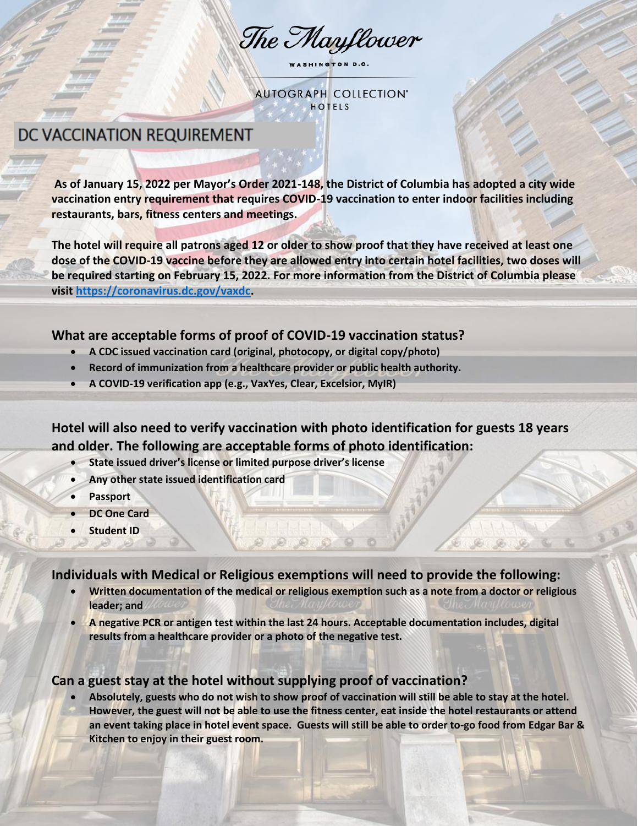The Mayflower

WASHINGTON D.C.

**AUTOGRAPH COLLECTION® HOTELS** 

## DC VACCINATION REQUIREMENT

**As of January 15, 2022 per Mayor's Order 2021-148, the District of Columbia has adopted a city wide vaccination entry requirement that requires COVID-19 vaccination to enter indoor facilities including restaurants, bars, fitness centers and meetings.** 

**The hotel will require all patrons aged 12 or older to show proof that they have received at least one dose of the COVID-19 vaccine before they are allowed entry into certain hotel facilities, two doses will be required starting on February 15, 2022. For more information from the District of Columbia please visi[t https://coronavirus.dc.gov/vaxdc.](https://coronavirus.dc.gov/vaxdc)** 

#### **What are acceptable forms of proof of COVID-19 vaccination status?**

- **A CDC issued vaccination card (original, photocopy, or digital copy/photo)**
- **Record of immunization from a healthcare provider or public health authority.**
- **A COVID-19 verification app (e.g., VaxYes, Clear, Excelsior, MyIR)**

**Hotel will also need to verify vaccination with photo identification for guests 18 years and older. The following are acceptable forms of photo identification:** 

- **State issued driver's license or limited purpose driver's license**
- **Any other state issued identification card**
- **Passport**
- **DC One Card**
- **Student ID**

**Individuals with Medical or Religious exemptions will need to provide the following:** 

- **Written documentation of the medical or religious exemption such as a note from a doctor or religious leader; and**
- **A negative PCR or antigen test within the last 24 hours. Acceptable documentation includes, digital results from a healthcare provider or a photo of the negative test.**

## **Can a guest stay at the hotel without supplying proof of vaccination?**

 **Absolutely, guests who do not wish to show proof of vaccination will still be able to stay at the hotel. However, the guest will not be able to use the fitness center, eat inside the hotel restaurants or attend an event taking place in hotel event space. Guests will still be able to order to-go food from Edgar Bar & Kitchen to enjoy in their guest room.**